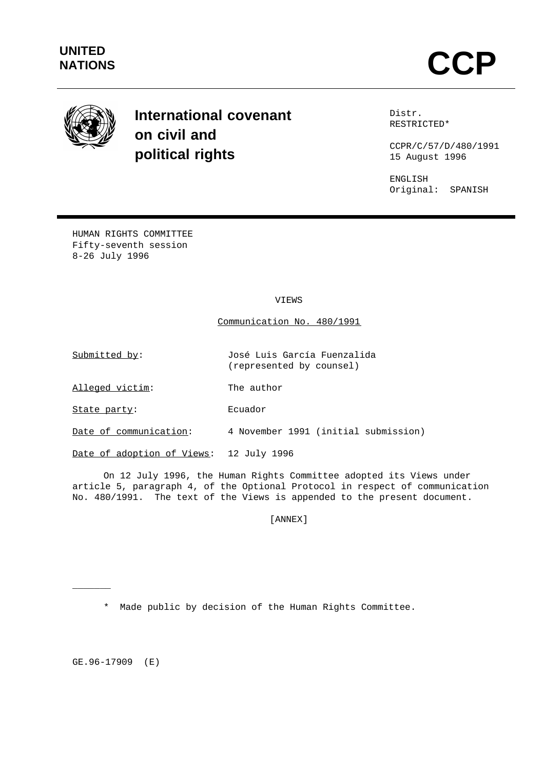

# **International covenant on civil and political rights**

Distr. RESTRICTED\*

CCPR/C/57/D/480/1991 15 August 1996

ENGLISH Original: SPANISH

HUMAN RIGHTS COMMITTEE Fifty-seventh session 8-26 July 1996

VIEWS

Communication No. 480/1991

(represented by counsel)

Submitted by: José Luis García Fuenzalida

Alleged victim: The author

State party: Ecuador

Date of communication: 4 November 1991 (initial submission)

Date of adoption of Views: 12 July 1996

On 12 July 1996, the Human Rights Committee adopted its Views under article 5, paragraph 4, of the Optional Protocol in respect of communication No. 480/1991. The text of the Views is appended to the present document.

[ANNEX]

\* Made public by decision of the Human Rights Committee.

GE.96-17909 (E)

 $\overline{\phantom{a}}$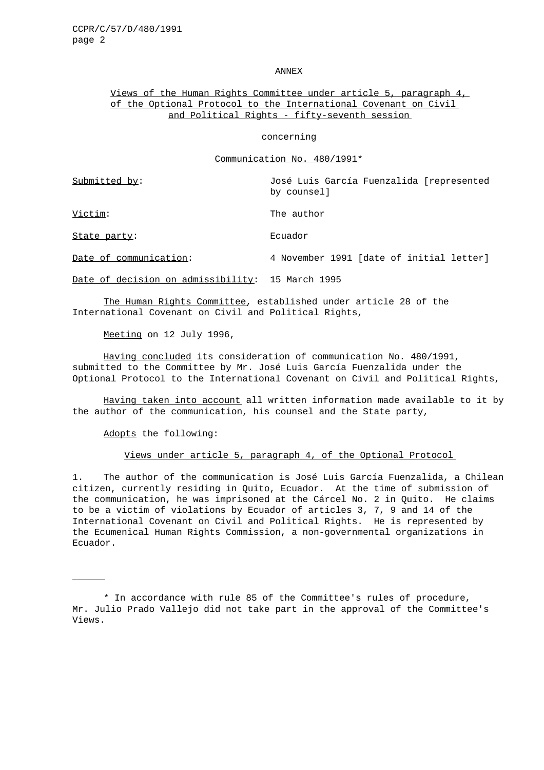#### ANNEX

# Views of the Human Rights Committee under article 5, paragraph 4, of the Optional Protocol to the International Covenant on Civil and Political Rights - fifty-seventh session

#### concerning

#### Communication No. 480/1991\*

Submitted by: José Luis García Fuenzalida [represented by counsel]

Victim: The author

 $\mathcal{L}$ 

State party: Ecuador

Date of communication: 4 November 1991 [date of initial letter]

Date of decision on admissibility: 15 March 1995

The Human Rights Committee, established under article 28 of the International Covenant on Civil and Political Rights,

Meeting on 12 July 1996,

Having concluded its consideration of communication No. 480/1991, submitted to the Committee by Mr. José Luis García Fuenzalida under the Optional Protocol to the International Covenant on Civil and Political Rights,

Having taken into account all written information made available to it by the author of the communication, his counsel and the State party,

Adopts the following:

Views under article 5, paragraph 4, of the Optional Protocol

1. The author of the communication is José Luis García Fuenzalida, a Chilean citizen, currently residing in Quito, Ecuador. At the time of submission of the communication, he was imprisoned at the Cárcel No. 2 in Quito. He claims to be a victim of violations by Ecuador of articles 3, 7, 9 and 14 of the International Covenant on Civil and Political Rights. He is represented by the Ecumenical Human Rights Commission, a non-governmental organizations in Ecuador.

<sup>\*</sup> In accordance with rule 85 of the Committee's rules of procedure, Mr. Julio Prado Vallejo did not take part in the approval of the Committee's Views.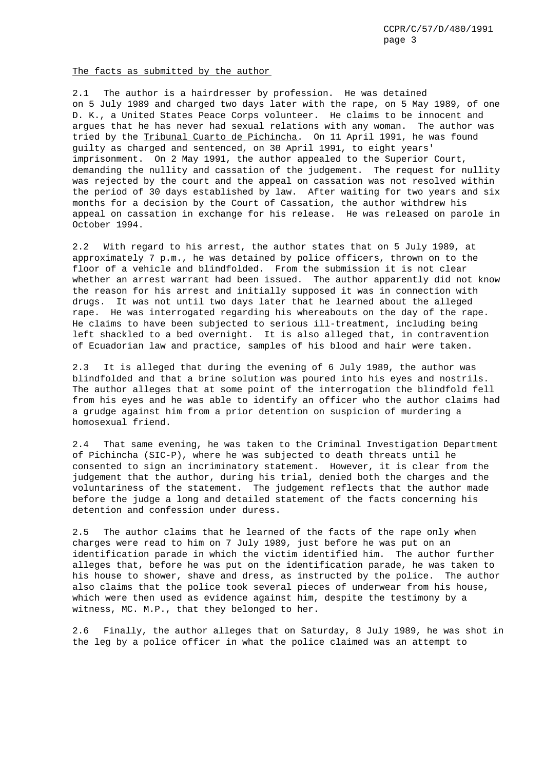CCPR/C/57/D/480/1991 page 3

The facts as submitted by the author

2.1 The author is a hairdresser by profession. He was detained on 5 July 1989 and charged two days later with the rape, on 5 May 1989, of one D. K., a United States Peace Corps volunteer. He claims to be innocent and argues that he has never had sexual relations with any woman. The author was tried by the Tribunal Cuarto de Pichincha. On 11 April 1991, he was found guilty as charged and sentenced, on 30 April 1991, to eight years' imprisonment. On 2 May 1991, the author appealed to the Superior Court, demanding the nullity and cassation of the judgement. The request for nullity was rejected by the court and the appeal on cassation was not resolved within the period of 30 days established by law. After waiting for two years and six months for a decision by the Court of Cassation, the author withdrew his appeal on cassation in exchange for his release. He was released on parole in October 1994.

2.2 With regard to his arrest, the author states that on 5 July 1989, at approximately 7 p.m., he was detained by police officers, thrown on to the floor of a vehicle and blindfolded. From the submission it is not clear whether an arrest warrant had been issued. The author apparently did not know the reason for his arrest and initially supposed it was in connection with drugs. It was not until two days later that he learned about the alleged rape. He was interrogated regarding his whereabouts on the day of the rape. He claims to have been subjected to serious ill-treatment, including being left shackled to a bed overnight. It is also alleged that, in contravention of Ecuadorian law and practice, samples of his blood and hair were taken.

2.3 It is alleged that during the evening of 6 July 1989, the author was blindfolded and that a brine solution was poured into his eyes and nostrils. The author alleges that at some point of the interrogation the blindfold fell from his eyes and he was able to identify an officer who the author claims had a grudge against him from a prior detention on suspicion of murdering a homosexual friend.

2.4 That same evening, he was taken to the Criminal Investigation Department of Pichincha (SIC-P), where he was subjected to death threats until he consented to sign an incriminatory statement. However, it is clear from the judgement that the author, during his trial, denied both the charges and the voluntariness of the statement. The judgement reflects that the author made before the judge a long and detailed statement of the facts concerning his detention and confession under duress.

2.5 The author claims that he learned of the facts of the rape only when charges were read to him on 7 July 1989, just before he was put on an identification parade in which the victim identified him. The author further alleges that, before he was put on the identification parade, he was taken to his house to shower, shave and dress, as instructed by the police. The author also claims that the police took several pieces of underwear from his house, which were then used as evidence against him, despite the testimony by a witness, MC. M.P., that they belonged to her.

2.6 Finally, the author alleges that on Saturday, 8 July 1989, he was shot in the leg by a police officer in what the police claimed was an attempt to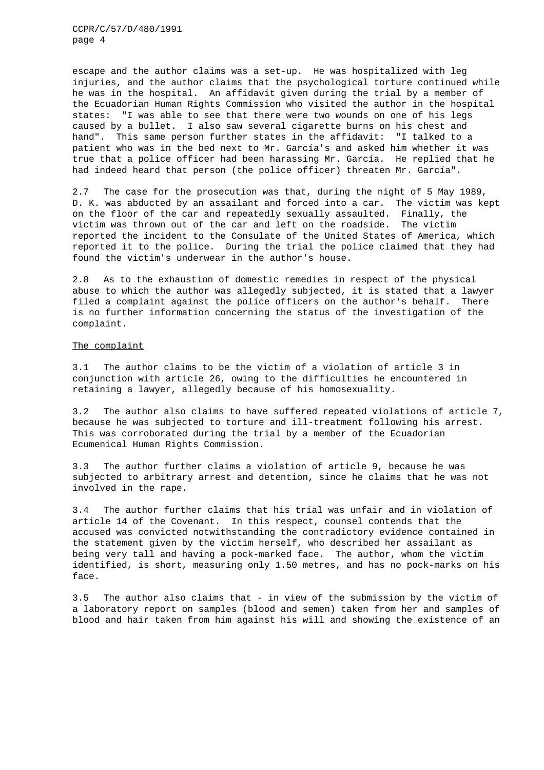CCPR/C/57/D/480/1991 page 4

escape and the author claims was a set-up. He was hospitalized with leg injuries, and the author claims that the psychological torture continued while he was in the hospital. An affidavit given during the trial by a member of the Ecuadorian Human Rights Commission who visited the author in the hospital states: "I was able to see that there were two wounds on one of his legs caused by a bullet. I also saw several cigarette burns on his chest and hand". This same person further states in the affidavit: "I talked to a patient who was in the bed next to Mr. García's and asked him whether it was true that a police officer had been harassing Mr. García. He replied that he had indeed heard that person (the police officer) threaten Mr. García".

2.7 The case for the prosecution was that, during the night of 5 May 1989, D. K. was abducted by an assailant and forced into a car. The victim was kept on the floor of the car and repeatedly sexually assaulted. Finally, the victim was thrown out of the car and left on the roadside. The victim reported the incident to the Consulate of the United States of America, which reported it to the police. During the trial the police claimed that they had found the victim's underwear in the author's house.

2.8 As to the exhaustion of domestic remedies in respect of the physical abuse to which the author was allegedly subjected, it is stated that a lawyer filed a complaint against the police officers on the author's behalf. There is no further information concerning the status of the investigation of the complaint.

### The complaint

3.1 The author claims to be the victim of a violation of article 3 in conjunction with article 26, owing to the difficulties he encountered in retaining a lawyer, allegedly because of his homosexuality.

3.2 The author also claims to have suffered repeated violations of article 7, because he was subjected to torture and ill-treatment following his arrest. This was corroborated during the trial by a member of the Ecuadorian Ecumenical Human Rights Commission.

3.3 The author further claims a violation of article 9, because he was subjected to arbitrary arrest and detention, since he claims that he was not involved in the rape.

3.4 The author further claims that his trial was unfair and in violation of article 14 of the Covenant. In this respect, counsel contends that the accused was convicted notwithstanding the contradictory evidence contained in the statement given by the victim herself, who described her assailant as being very tall and having a pock-marked face. The author, whom the victim identified, is short, measuring only 1.50 metres, and has no pock-marks on his face.

3.5 The author also claims that - in view of the submission by the victim of a laboratory report on samples (blood and semen) taken from her and samples of blood and hair taken from him against his will and showing the existence of an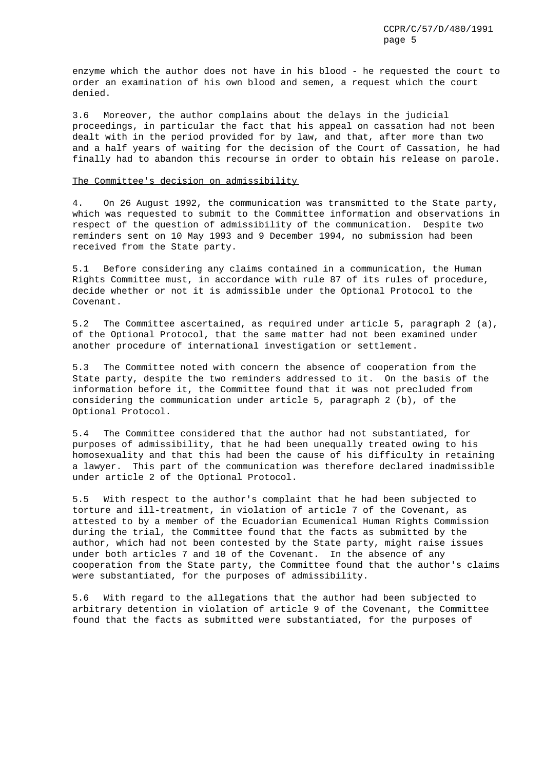enzyme which the author does not have in his blood - he requested the court to order an examination of his own blood and semen, a request which the court denied.

3.6 Moreover, the author complains about the delays in the judicial proceedings, in particular the fact that his appeal on cassation had not been dealt with in the period provided for by law, and that, after more than two and a half years of waiting for the decision of the Court of Cassation, he had finally had to abandon this recourse in order to obtain his release on parole.

# The Committee's decision on admissibility

4. On 26 August 1992, the communication was transmitted to the State party, which was requested to submit to the Committee information and observations in respect of the question of admissibility of the communication. Despite two reminders sent on 10 May 1993 and 9 December 1994, no submission had been received from the State party.

5.1 Before considering any claims contained in a communication, the Human Rights Committee must, in accordance with rule 87 of its rules of procedure, decide whether or not it is admissible under the Optional Protocol to the Covenant.

5.2 The Committee ascertained, as required under article 5, paragraph 2 (a), of the Optional Protocol, that the same matter had not been examined under another procedure of international investigation or settlement.

5.3 The Committee noted with concern the absence of cooperation from the State party, despite the two reminders addressed to it. On the basis of the information before it, the Committee found that it was not precluded from considering the communication under article 5, paragraph 2 (b), of the Optional Protocol.

5.4 The Committee considered that the author had not substantiated, for purposes of admissibility, that he had been unequally treated owing to his homosexuality and that this had been the cause of his difficulty in retaining a lawyer. This part of the communication was therefore declared inadmissible under article 2 of the Optional Protocol.

5.5 With respect to the author's complaint that he had been subjected to torture and ill-treatment, in violation of article 7 of the Covenant, as attested to by a member of the Ecuadorian Ecumenical Human Rights Commission during the trial, the Committee found that the facts as submitted by the author, which had not been contested by the State party, might raise issues under both articles 7 and 10 of the Covenant. In the absence of any cooperation from the State party, the Committee found that the author's claims were substantiated, for the purposes of admissibility.

5.6 With regard to the allegations that the author had been subjected to arbitrary detention in violation of article 9 of the Covenant, the Committee found that the facts as submitted were substantiated, for the purposes of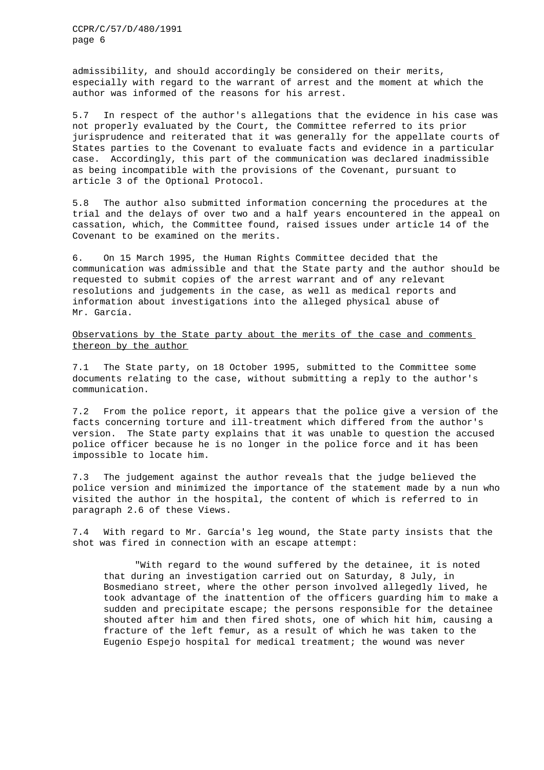admissibility, and should accordingly be considered on their merits, especially with regard to the warrant of arrest and the moment at which the author was informed of the reasons for his arrest.

5.7 In respect of the author's allegations that the evidence in his case was not properly evaluated by the Court, the Committee referred to its prior jurisprudence and reiterated that it was generally for the appellate courts of States parties to the Covenant to evaluate facts and evidence in a particular case. Accordingly, this part of the communication was declared inadmissible as being incompatible with the provisions of the Covenant, pursuant to article 3 of the Optional Protocol.

5.8 The author also submitted information concerning the procedures at the trial and the delays of over two and a half years encountered in the appeal on cassation, which, the Committee found, raised issues under article 14 of the Covenant to be examined on the merits.

6. On 15 March 1995, the Human Rights Committee decided that the communication was admissible and that the State party and the author should be requested to submit copies of the arrest warrant and of any relevant resolutions and judgements in the case, as well as medical reports and information about investigations into the alleged physical abuse of Mr. García.

Observations by the State party about the merits of the case and comments thereon by the author

7.1 The State party, on 18 October 1995, submitted to the Committee some documents relating to the case, without submitting a reply to the author's communication.

7.2 From the police report, it appears that the police give a version of the facts concerning torture and ill-treatment which differed from the author's version. The State party explains that it was unable to question the accused police officer because he is no longer in the police force and it has been impossible to locate him.

7.3 The judgement against the author reveals that the judge believed the police version and minimized the importance of the statement made by a nun who visited the author in the hospital, the content of which is referred to in paragraph 2.6 of these Views.

7.4 With regard to Mr. García's leg wound, the State party insists that the shot was fired in connection with an escape attempt:

"With regard to the wound suffered by the detainee, it is noted that during an investigation carried out on Saturday, 8 July, in Bosmediano street, where the other person involved allegedly lived, he took advantage of the inattention of the officers guarding him to make a sudden and precipitate escape; the persons responsible for the detainee shouted after him and then fired shots, one of which hit him, causing a fracture of the left femur, as a result of which he was taken to the Eugenio Espejo hospital for medical treatment; the wound was never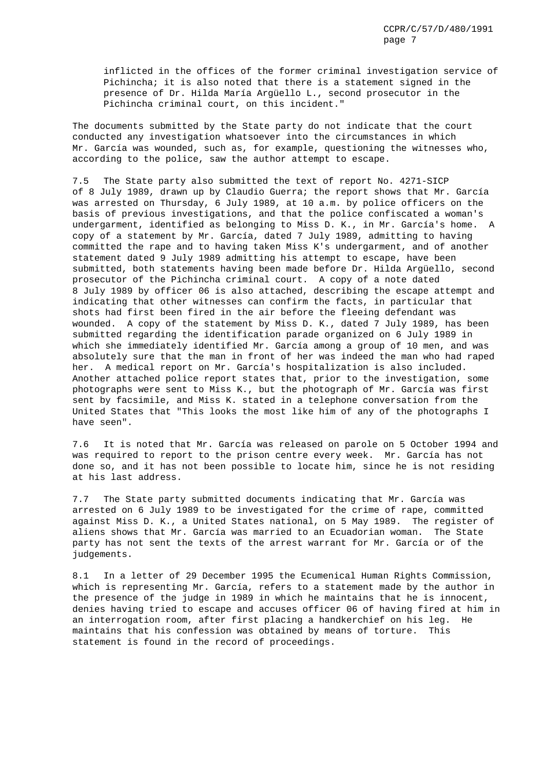inflicted in the offices of the former criminal investigation service of Pichincha; it is also noted that there is a statement signed in the presence of Dr. Hilda María Argüello L., second prosecutor in the Pichincha criminal court, on this incident."

The documents submitted by the State party do not indicate that the court conducted any investigation whatsoever into the circumstances in which Mr. García was wounded, such as, for example, questioning the witnesses who, according to the police, saw the author attempt to escape.

7.5 The State party also submitted the text of report No. 4271-SICP of 8 July 1989, drawn up by Claudio Guerra; the report shows that Mr. García was arrested on Thursday, 6 July 1989, at 10 a.m. by police officers on the basis of previous investigations, and that the police confiscated a woman's undergarment, identified as belonging to Miss D. K., in Mr. García's home. A copy of a statement by Mr. García, dated 7 July 1989, admitting to having committed the rape and to having taken Miss K's undergarment, and of another statement dated 9 July 1989 admitting his attempt to escape, have been submitted, both statements having been made before Dr. Hilda Argüello, second prosecutor of the Pichincha criminal court. A copy of a note dated 8 July 1989 by officer 06 is also attached, describing the escape attempt and indicating that other witnesses can confirm the facts, in particular that shots had first been fired in the air before the fleeing defendant was wounded. A copy of the statement by Miss D. K., dated 7 July 1989, has been submitted regarding the identification parade organized on 6 July 1989 in which she immediately identified Mr. García among a group of 10 men, and was absolutely sure that the man in front of her was indeed the man who had raped her. A medical report on Mr. García's hospitalization is also included. Another attached police report states that, prior to the investigation, some photographs were sent to Miss K., but the photograph of Mr. García was first sent by facsimile, and Miss K. stated in a telephone conversation from the United States that "This looks the most like him of any of the photographs I have seen".

7.6 It is noted that Mr. García was released on parole on 5 October 1994 and was required to report to the prison centre every week. Mr. García has not done so, and it has not been possible to locate him, since he is not residing at his last address.

7.7 The State party submitted documents indicating that Mr. García was arrested on 6 July 1989 to be investigated for the crime of rape, committed against Miss D. K., a United States national, on 5 May 1989. The register of aliens shows that Mr. García was married to an Ecuadorian woman. The State party has not sent the texts of the arrest warrant for Mr. García or of the judgements.

8.1 In a letter of 29 December 1995 the Ecumenical Human Rights Commission, which is representing Mr. García, refers to a statement made by the author in the presence of the judge in 1989 in which he maintains that he is innocent, denies having tried to escape and accuses officer 06 of having fired at him in an interrogation room, after first placing a handkerchief on his leg. He maintains that his confession was obtained by means of torture. This statement is found in the record of proceedings.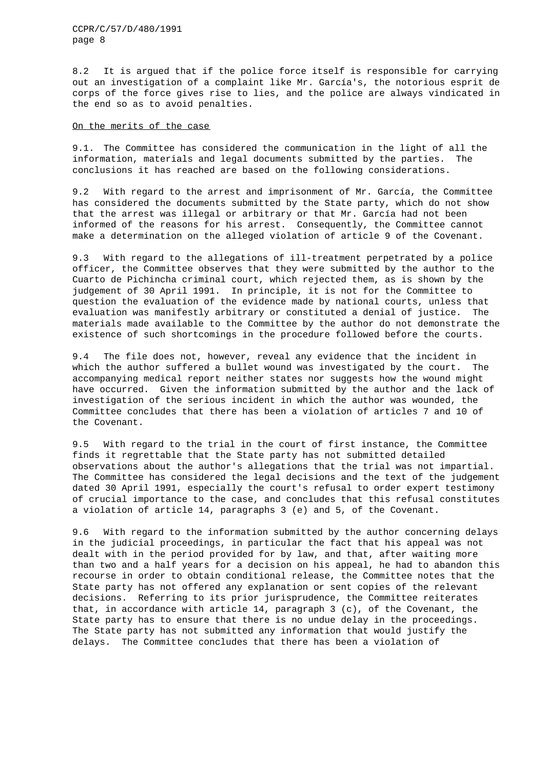CCPR/C/57/D/480/1991 page 8

8.2 It is argued that if the police force itself is responsible for carrying out an investigation of a complaint like Mr. García's, the notorious esprit de corps of the force gives rise to lies, and the police are always vindicated in the end so as to avoid penalties.

# On the merits of the case

9.1. The Committee has considered the communication in the light of all the information, materials and legal documents submitted by the parties. The conclusions it has reached are based on the following considerations.

9.2 With regard to the arrest and imprisonment of Mr. García, the Committee has considered the documents submitted by the State party, which do not show that the arrest was illegal or arbitrary or that Mr. García had not been informed of the reasons for his arrest. Consequently, the Committee cannot make a determination on the alleged violation of article 9 of the Covenant.

9.3 With regard to the allegations of ill-treatment perpetrated by a police officer, the Committee observes that they were submitted by the author to the Cuarto de Pichincha criminal court, which rejected them, as is shown by the judgement of 30 April 1991. In principle, it is not for the Committee to question the evaluation of the evidence made by national courts, unless that evaluation was manifestly arbitrary or constituted a denial of justice. The materials made available to the Committee by the author do not demonstrate the existence of such shortcomings in the procedure followed before the courts.

9.4 The file does not, however, reveal any evidence that the incident in which the author suffered a bullet wound was investigated by the court. The accompanying medical report neither states nor suggests how the wound might have occurred. Given the information submitted by the author and the lack of investigation of the serious incident in which the author was wounded, the Committee concludes that there has been a violation of articles 7 and 10 of the Covenant.

9.5 With regard to the trial in the court of first instance, the Committee finds it regrettable that the State party has not submitted detailed observations about the author's allegations that the trial was not impartial. The Committee has considered the legal decisions and the text of the judgement dated 30 April 1991, especially the court's refusal to order expert testimony of crucial importance to the case, and concludes that this refusal constitutes a violation of article 14, paragraphs 3 (e) and 5, of the Covenant.

9.6 With regard to the information submitted by the author concerning delays in the judicial proceedings, in particular the fact that his appeal was not dealt with in the period provided for by law, and that, after waiting more than two and a half years for a decision on his appeal, he had to abandon this recourse in order to obtain conditional release, the Committee notes that the State party has not offered any explanation or sent copies of the relevant decisions. Referring to its prior jurisprudence, the Committee reiterates that, in accordance with article 14, paragraph 3 (c), of the Covenant, the State party has to ensure that there is no undue delay in the proceedings. The State party has not submitted any information that would justify the delays. The Committee concludes that there has been a violation of